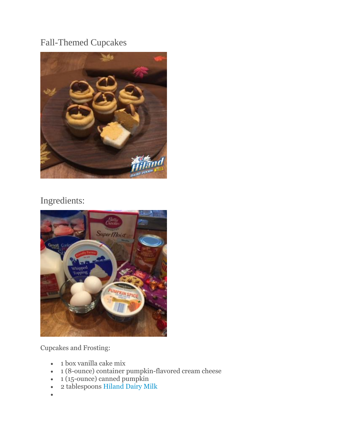## Fall-Themed Cupcakes



## Ingredients:



Cupcakes and Frosting:

- 1 box vanilla cake mix
- 1 (8-ounce) container pumpkin-flavored cream cheese
- 1 (15-ounce) canned pumpkin
- 2 tablespoons [Hiland Dairy Milk](http://hilanddairy.com/products/milks/)
- $\bullet$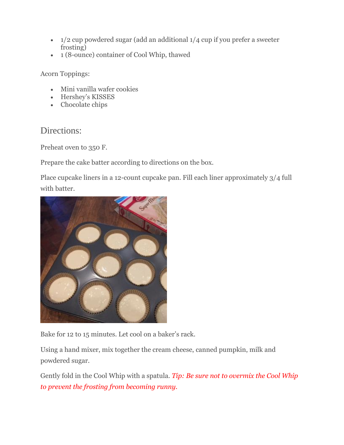- $\bullet$  1/2 cup powdered sugar (add an additional 1/4 cup if you prefer a sweeter frosting)
- 1 (8-ounce) container of Cool Whip, thawed

Acorn Toppings:

- Mini vanilla wafer cookies
- Hershey's KISSES
- Chocolate chips

## Directions:

Preheat oven to 350 F.

Prepare the cake batter according to directions on the box.

Place cupcake liners in a 12-count cupcake pan. Fill each liner approximately 3/4 full with batter.



Bake for 12 to 15 minutes. Let cool on a baker's rack.

Using a hand mixer, mix together the cream cheese, canned pumpkin, milk and powdered sugar.

Gently fold in the Cool Whip with a spatula. *Tip: Be sure not to overmix the Cool Whip to prevent the frosting from becoming runny.*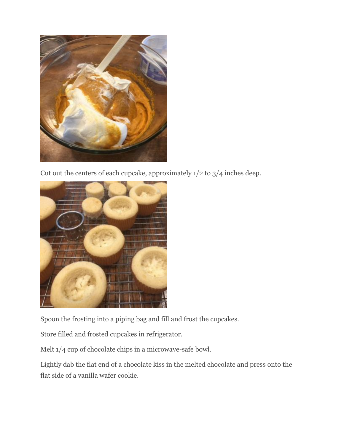

Cut out the centers of each cupcake, approximately  $1/2$  to  $3/4$  inches deep.



Spoon the frosting into a piping bag and fill and frost the cupcakes.

Store filled and frosted cupcakes in refrigerator.

Melt 1/4 cup of chocolate chips in a microwave-safe bowl.

Lightly dab the flat end of a chocolate kiss in the melted chocolate and press onto the flat side of a vanilla wafer cookie.